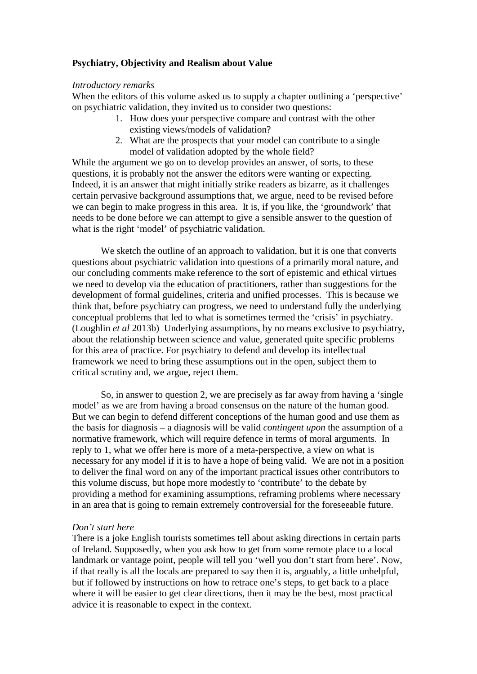# **Psychiatry, Objectivity and Realism about Value**

## *Introductory remarks*

When the editors of this volume asked us to supply a chapter outlining a 'perspective' on psychiatric validation, they invited us to consider two questions:

- 1. How does your perspective compare and contrast with the other existing views/models of validation?
- 2. What are the prospects that your model can contribute to a single model of validation adopted by the whole field?

While the argument we go on to develop provides an answer, of sorts, to these questions, it is probably not the answer the editors were wanting or expecting. Indeed, it is an answer that might initially strike readers as bizarre, as it challenges certain pervasive background assumptions that, we argue, need to be revised before we can begin to make progress in this area. It is, if you like, the 'groundwork' that needs to be done before we can attempt to give a sensible answer to the question of what is the right 'model' of psychiatric validation.

We sketch the outline of an approach to validation, but it is one that converts questions about psychiatric validation into questions of a primarily moral nature, and our concluding comments make reference to the sort of epistemic and ethical virtues we need to develop via the education of practitioners, rather than suggestions for the development of formal guidelines, criteria and unified processes. This is because we think that, before psychiatry can progress, we need to understand fully the underlying conceptual problems that led to what is sometimes termed the 'crisis' in psychiatry. (Loughlin *et al* 2013b) Underlying assumptions, by no means exclusive to psychiatry, about the relationship between science and value, generated quite specific problems for this area of practice. For psychiatry to defend and develop its intellectual framework we need to bring these assumptions out in the open, subject them to critical scrutiny and, we argue, reject them.

So, in answer to question 2, we are precisely as far away from having a 'single model' as we are from having a broad consensus on the nature of the human good. But we can begin to defend different conceptions of the human good and use them as the basis for diagnosis – a diagnosis will be valid *contingent upon* the assumption of a normative framework, which will require defence in terms of moral arguments. In reply to 1, what we offer here is more of a meta-perspective, a view on what is necessary for any model if it is to have a hope of being valid. We are not in a position to deliver the final word on any of the important practical issues other contributors to this volume discuss, but hope more modestly to 'contribute' to the debate by providing a method for examining assumptions, reframing problems where necessary in an area that is going to remain extremely controversial for the foreseeable future.

# *Don't start here*

There is a joke English tourists sometimes tell about asking directions in certain parts of Ireland. Supposedly, when you ask how to get from some remote place to a local landmark or vantage point, people will tell you 'well you don't start from here'. Now, if that really is all the locals are prepared to say then it is, arguably, a little unhelpful, but if followed by instructions on how to retrace one's steps, to get back to a place where it will be easier to get clear directions, then it may be the best, most practical advice it is reasonable to expect in the context.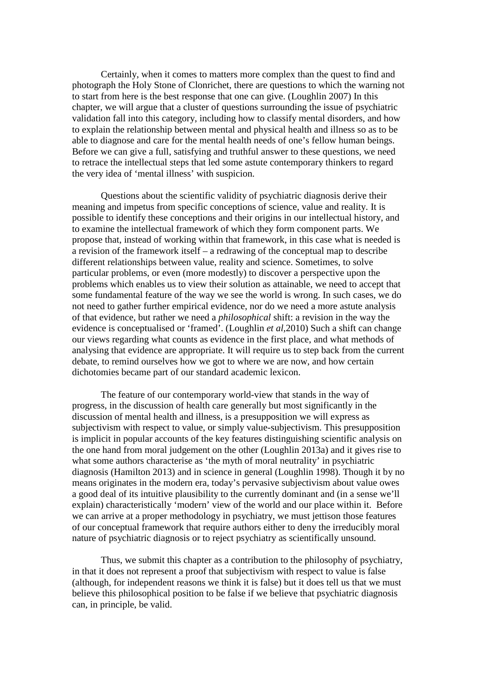Certainly, when it comes to matters more complex than the quest to find and photograph the Holy Stone of Clonrichet, there are questions to which the warning not to start from here is the best response that one can give. (Loughlin 2007) In this chapter, we will argue that a cluster of questions surrounding the issue of psychiatric validation fall into this category, including how to classify mental disorders, and how to explain the relationship between mental and physical health and illness so as to be able to diagnose and care for the mental health needs of one's fellow human beings. Before we can give a full, satisfying and truthful answer to these questions, we need to retrace the intellectual steps that led some astute contemporary thinkers to regard the very idea of 'mental illness' with suspicion.

Questions about the scientific validity of psychiatric diagnosis derive their meaning and impetus from specific conceptions of science, value and reality. It is possible to identify these conceptions and their origins in our intellectual history, and to examine the intellectual framework of which they form component parts. We propose that, instead of working within that framework, in this case what is needed is a revision of the framework itself – a redrawing of the conceptual map to describe different relationships between value, reality and science. Sometimes, to solve particular problems, or even (more modestly) to discover a perspective upon the problems which enables us to view their solution as attainable, we need to accept that some fundamental feature of the way we see the world is wrong. In such cases, we do not need to gather further empirical evidence, nor do we need a more astute analysis of that evidence, but rather we need a *philosophical* shift: a revision in the way the evidence is conceptualised or 'framed'. (Loughlin *et al,*2010) Such a shift can change our views regarding what counts as evidence in the first place, and what methods of analysing that evidence are appropriate. It will require us to step back from the current debate, to remind ourselves how we got to where we are now, and how certain dichotomies became part of our standard academic lexicon.

The feature of our contemporary world-view that stands in the way of progress, in the discussion of health care generally but most significantly in the discussion of mental health and illness, is a presupposition we will express as subjectivism with respect to value, or simply value-subjectivism. This presupposition is implicit in popular accounts of the key features distinguishing scientific analysis on the one hand from moral judgement on the other (Loughlin 2013a) and it gives rise to what some authors characterise as 'the myth of moral neutrality' in psychiatric diagnosis (Hamilton 2013) and in science in general (Loughlin 1998). Though it by no means originates in the modern era, today's pervasive subjectivism about value owes a good deal of its intuitive plausibility to the currently dominant and (in a sense we'll explain) characteristically 'modern' view of the world and our place within it. Before we can arrive at a proper methodology in psychiatry, we must jettison those features of our conceptual framework that require authors either to deny the irreducibly moral nature of psychiatric diagnosis or to reject psychiatry as scientifically unsound.

Thus, we submit this chapter as a contribution to the philosophy of psychiatry, in that it does not represent a proof that subjectivism with respect to value is false (although, for independent reasons we think it is false) but it does tell us that we must believe this philosophical position to be false if we believe that psychiatric diagnosis can, in principle, be valid.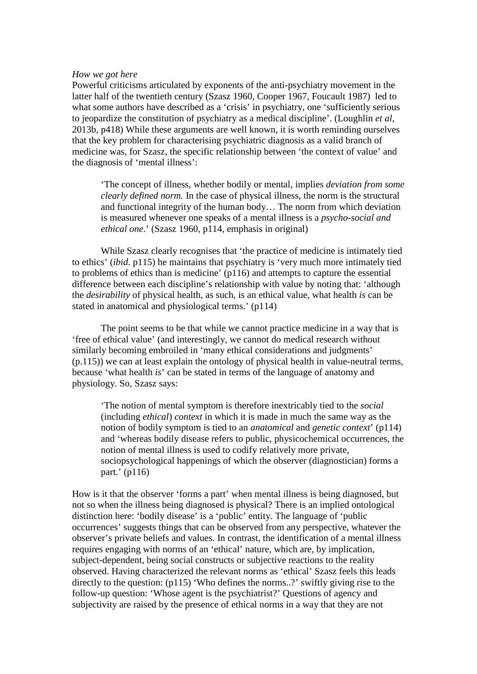### *How we got here*

Powerful criticisms articulated by exponents of the anti-psychiatry movement in the latter half of the twentieth century (Szasz 1960, Cooper 1967, Foucault 1987) led to what some authors have described as a 'crisis' in psychiatry, one 'sufficiently serious to jeopardize the constitution of psychiatry as a medical discipline'. (Loughlin *et al*, 2013b, p418) While these arguments are well known, it is worth reminding ourselves that the key problem for characterising psychiatric diagnosis as a valid branch of medicine was, for Szasz, the specific relationship between 'the context of value' and the diagnosis of 'mental illness':

'The concept of illness, whether bodily or mental, implies *deviation from some clearly defined norm.* In the case of physical illness, the norm is the structural and functional integrity of the human body… The norm from which deviation is measured whenever one speaks of a mental illness is a *psycho-social and ethical one*.' (Szasz 1960, p114, emphasis in original)

While Szasz clearly recognises that 'the practice of medicine is intimately tied to ethics' (*ibid*. p115) he maintains that psychiatry is 'very much more intimately tied to problems of ethics than is medicine' (p116) and attempts to capture the essential difference between each discipline's relationship with value by noting that: 'although the *desirability* of physical health, as such, is an ethical value, what health *is* can be stated in anatomical and physiological terms.' (p114)

The point seems to be that while we cannot practice medicine in a way that is 'free of ethical value' (and interestingly, we cannot do medical research without similarly becoming embroiled in 'many ethical considerations and judgments' (p.115)) we can at least explain the ontology of physical health in value-neutral terms, because 'what health *is*' can be stated in terms of the language of anatomy and physiology. So, Szasz says:

'The notion of mental symptom is therefore inextricably tied to the *social*  (including *ethical*) *context* in which it is made in much the same way as the notion of bodily symptom is tied to an *anatomical* and *genetic context*' (p114) and 'whereas bodily disease refers to public, physicochemical occurrences, the notion of mental illness is used to codify relatively more private, sociopsychological happenings of which the observer (diagnostician) forms a part.' (p116)

How is it that the observer 'forms a part' when mental illness is being diagnosed, but not so when the illness being diagnosed is physical? There is an implied ontological distinction here: 'bodily disease' is a 'public' entity. The language of 'public occurrences' suggests things that can be observed from any perspective, whatever the observer's private beliefs and values. In contrast, the identification of a mental illness requires engaging with norms of an 'ethical' nature, which are, by implication, subject-dependent, being social constructs or subjective reactions to the reality observed. Having characterized the relevant norms as 'ethical' Szasz feels this leads directly to the question: (p115) 'Who defines the norms..?' swiftly giving rise to the follow-up question: 'Whose agent is the psychiatrist?' Questions of agency and subjectivity are raised by the presence of ethical norms in a way that they are not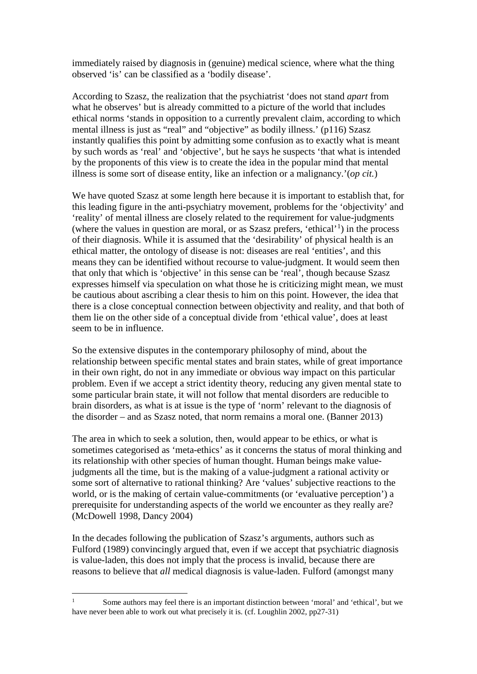immediately raised by diagnosis in (genuine) medical science, where what the thing observed 'is' can be classified as a 'bodily disease'.

According to Szasz, the realization that the psychiatrist 'does not stand *apart* from what he observes' but is already committed to a picture of the world that includes ethical norms 'stands in opposition to a currently prevalent claim, according to which mental illness is just as "real" and "objective" as bodily illness.' (p116) Szasz instantly qualifies this point by admitting some confusion as to exactly what is meant by such words as 'real' and 'objective', but he says he suspects 'that what is intended by the proponents of this view is to create the idea in the popular mind that mental illness is some sort of disease entity, like an infection or a malignancy.'(*op cit.*)

We have quoted Szasz at some length here because it is important to establish that, for this leading figure in the anti-psychiatry movement, problems for the 'objectivity' and 'reality' of mental illness are closely related to the requirement for value-judgments (where the values in question are moral, or as Szasz prefers, 'ethical'[1](#page-3-0) ) in the process of their diagnosis. While it is assumed that the 'desirability' of physical health is an ethical matter, the ontology of disease is not: diseases are real 'entities', and this means they can be identified without recourse to value-judgment. It would seem then that only that which is 'objective' in this sense can be 'real', though because Szasz expresses himself via speculation on what those he is criticizing might mean, we must be cautious about ascribing a clear thesis to him on this point. However, the idea that there is a close conceptual connection between objectivity and reality, and that both of them lie on the other side of a conceptual divide from 'ethical value', does at least seem to be in influence.

So the extensive disputes in the contemporary philosophy of mind, about the relationship between specific mental states and brain states, while of great importance in their own right, do not in any immediate or obvious way impact on this particular problem. Even if we accept a strict identity theory, reducing any given mental state to some particular brain state, it will not follow that mental disorders are reducible to brain disorders, as what is at issue is the type of 'norm' relevant to the diagnosis of the disorder – and as Szasz noted, that norm remains a moral one. (Banner 2013)

The area in which to seek a solution, then, would appear to be ethics, or what is sometimes categorised as 'meta-ethics' as it concerns the status of moral thinking and its relationship with other species of human thought. Human beings make valuejudgments all the time, but is the making of a value-judgment a rational activity or some sort of alternative to rational thinking? Are 'values' subjective reactions to the world, or is the making of certain value-commitments (or 'evaluative perception') a prerequisite for understanding aspects of the world we encounter as they really are? (McDowell 1998, Dancy 2004)

In the decades following the publication of Szasz's arguments, authors such as Fulford (1989) convincingly argued that, even if we accept that psychiatric diagnosis is value-laden, this does not imply that the process is invalid, because there are reasons to believe that *all* medical diagnosis is value-laden. Fulford (amongst many

<span id="page-3-0"></span><sup>1</sup> Some authors may feel there is an important distinction between 'moral' and 'ethical', but we have never been able to work out what precisely it is. (cf. Loughlin 2002, pp27-31)  $\mathbf{1}$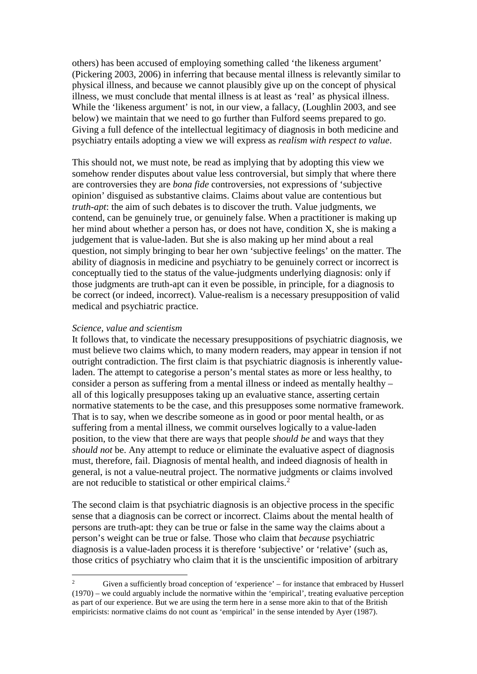others) has been accused of employing something called 'the likeness argument' (Pickering 2003, 2006) in inferring that because mental illness is relevantly similar to physical illness, and because we cannot plausibly give up on the concept of physical illness, we must conclude that mental illness is at least as 'real' as physical illness. While the 'likeness argument' is not, in our view, a fallacy, (Loughlin 2003, and see below) we maintain that we need to go further than Fulford seems prepared to go. Giving a full defence of the intellectual legitimacy of diagnosis in both medicine and psychiatry entails adopting a view we will express as *realism with respect to value*.

This should not, we must note, be read as implying that by adopting this view we somehow render disputes about value less controversial, but simply that where there are controversies they are *bona fide* controversies, not expressions of 'subjective opinion' disguised as substantive claims. Claims about value are contentious but *truth-apt*: the aim of such debates is to discover the truth. Value judgments, we contend, can be genuinely true, or genuinely false. When a practitioner is making up her mind about whether a person has, or does not have, condition X, she is making a judgement that is value-laden. But she is also making up her mind about a real question, not simply bringing to bear her own 'subjective feelings' on the matter. The ability of diagnosis in medicine and psychiatry to be genuinely correct or incorrect is conceptually tied to the status of the value-judgments underlying diagnosis: only if those judgments are truth-apt can it even be possible, in principle, for a diagnosis to be correct (or indeed, incorrect). Value-realism is a necessary presupposition of valid medical and psychiatric practice.

### *Science, value and scientism*

It follows that, to vindicate the necessary presuppositions of psychiatric diagnosis, we must believe two claims which, to many modern readers, may appear in tension if not outright contradiction. The first claim is that psychiatric diagnosis is inherently valueladen. The attempt to categorise a person's mental states as more or less healthy, to consider a person as suffering from a mental illness or indeed as mentally healthy – all of this logically presupposes taking up an evaluative stance, asserting certain normative statements to be the case, and this presupposes some normative framework. That is to say, when we describe someone as in good or poor mental health, or as suffering from a mental illness, we commit ourselves logically to a value-laden position, to the view that there are ways that people *should be* and ways that they *should not* be. Any attempt to reduce or eliminate the evaluative aspect of diagnosis must, therefore, fail. Diagnosis of mental health, and indeed diagnosis of health in general, is not a value-neutral project. The normative judgments or claims involved are not reducible to statistical or other empirical claims.<sup>[2](#page-4-0)</sup>

The second claim is that psychiatric diagnosis is an objective process in the specific sense that a diagnosis can be correct or incorrect. Claims about the mental health of persons are truth-apt: they can be true or false in the same way the claims about a person's weight can be true or false. Those who claim that *because* psychiatric diagnosis is a value-laden process it is therefore 'subjective' or 'relative' (such as, those critics of psychiatry who claim that it is the unscientific imposition of arbitrary

<span id="page-4-0"></span>Given a sufficiently broad conception of 'experience' – for instance that embraced by Husserl (1970) – we could arguably include the normative within the 'empirical', treating evaluative perception as part of our experience. But we are using the term here in a sense more akin to that of the British empiricists: normative claims do not count as 'empirical' in the sense intended by Ayer (1987).  $\overline{c}$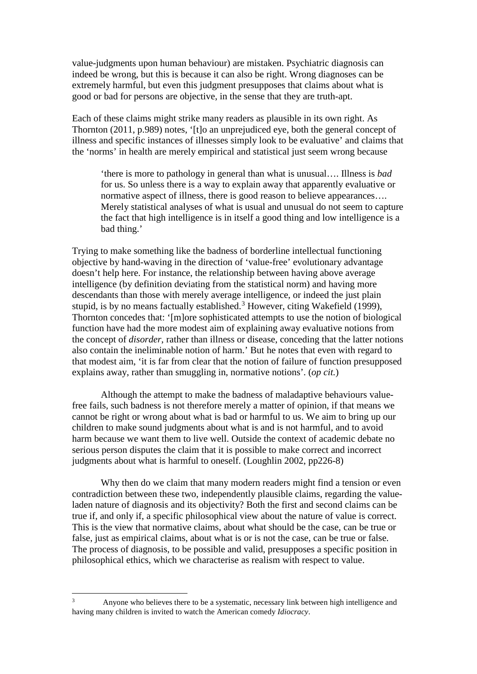value-judgments upon human behaviour) are mistaken. Psychiatric diagnosis can indeed be wrong, but this is because it can also be right. Wrong diagnoses can be extremely harmful, but even this judgment presupposes that claims about what is good or bad for persons are objective, in the sense that they are truth-apt.

Each of these claims might strike many readers as plausible in its own right. As Thornton (2011, p.989) notes, '[t]o an unprejudiced eye, both the general concept of illness and specific instances of illnesses simply look to be evaluative' and claims that the 'norms' in health are merely empirical and statistical just seem wrong because

'there is more to pathology in general than what is unusual…. Illness is *bad* for us. So unless there is a way to explain away that apparently evaluative or normative aspect of illness, there is good reason to believe appearances.... Merely statistical analyses of what is usual and unusual do not seem to capture the fact that high intelligence is in itself a good thing and low intelligence is a bad thing.'

Trying to make something like the badness of borderline intellectual functioning objective by hand-waving in the direction of 'value-free' evolutionary advantage doesn't help here. For instance, the relationship between having above average intelligence (by definition deviating from the statistical norm) and having more descendants than those with merely average intelligence, or indeed the just plain stupid, is by no means factually established.<sup>[3](#page-5-0)</sup> However, citing Wakefield (1999), Thornton concedes that: '[m]ore sophisticated attempts to use the notion of biological function have had the more modest aim of explaining away evaluative notions from the concept of *disorder*, rather than illness or disease, conceding that the latter notions also contain the ineliminable notion of harm.' But he notes that even with regard to that modest aim, 'it is far from clear that the notion of failure of function presupposed explains away, rather than smuggling in, normative notions'. (*op cit.*)

Although the attempt to make the badness of maladaptive behaviours valuefree fails, such badness is not therefore merely a matter of opinion, if that means we cannot be right or wrong about what is bad or harmful to us. We aim to bring up our children to make sound judgments about what is and is not harmful, and to avoid harm because we want them to live well. Outside the context of academic debate no serious person disputes the claim that it is possible to make correct and incorrect judgments about what is harmful to oneself. (Loughlin 2002, pp226-8)

Why then do we claim that many modern readers might find a tension or even contradiction between these two, independently plausible claims, regarding the valueladen nature of diagnosis and its objectivity? Both the first and second claims can be true if, and only if, a specific philosophical view about the nature of value is correct. This is the view that normative claims, about what should be the case, can be true or false, just as empirical claims, about what is or is not the case, can be true or false. The process of diagnosis, to be possible and valid, presupposes a specific position in philosophical ethics, which we characterise as realism with respect to value.

<span id="page-5-0"></span><sup>3</sup> Anyone who believes there to be a systematic, necessary link between high intelligence and having many children is invited to watch the American comedy *Idiocracy*.  $\overline{3}$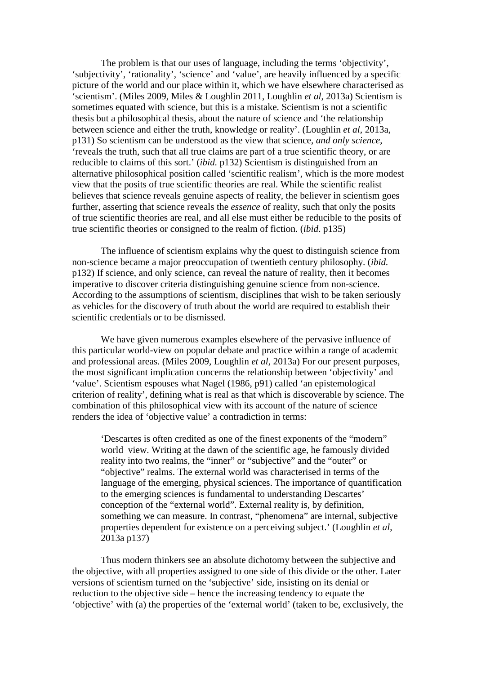The problem is that our uses of language, including the terms 'objectivity', 'subjectivity', 'rationality', 'science' and 'value', are heavily influenced by a specific picture of the world and our place within it, which we have elsewhere characterised as 'scientism'. (Miles 2009, Miles & Loughlin 2011, Loughlin *et al*, 2013a) Scientism is sometimes equated with science, but this is a mistake. Scientism is not a scientific thesis but a philosophical thesis, about the nature of science and 'the relationship between science and either the truth, knowledge or reality'. (Loughlin *et al*, 2013a, p131) So scientism can be understood as the view that science, *and only science*, 'reveals the truth, such that all true claims are part of a true scientific theory, or are reducible to claims of this sort.' (*ibid.* p132) Scientism is distinguished from an alternative philosophical position called 'scientific realism', which is the more modest view that the posits of true scientific theories are real. While the scientific realist believes that science reveals genuine aspects of reality, the believer in scientism goes further, asserting that science reveals the *essence* of reality, such that only the posits of true scientific theories are real, and all else must either be reducible to the posits of true scientific theories or consigned to the realm of fiction. (*ibid*. p135)

The influence of scientism explains why the quest to distinguish science from non-science became a major preoccupation of twentieth century philosophy. (*ibid.* p132) If science, and only science, can reveal the nature of reality, then it becomes imperative to discover criteria distinguishing genuine science from non-science. According to the assumptions of scientism, disciplines that wish to be taken seriously as vehicles for the discovery of truth about the world are required to establish their scientific credentials or to be dismissed.

We have given numerous examples elsewhere of the pervasive influence of this particular world-view on popular debate and practice within a range of academic and professional areas. (Miles 2009, Loughlin *et al*, 2013a) For our present purposes, the most significant implication concerns the relationship between 'objectivity' and 'value'. Scientism espouses what Nagel (1986, p91) called 'an epistemological criterion of reality', defining what is real as that which is discoverable by science. The combination of this philosophical view with its account of the nature of science renders the idea of 'objective value' a contradiction in terms:

'Descartes is often credited as one of the finest exponents of the "modern" world view. Writing at the dawn of the scientific age, he famously divided reality into two realms, the "inner" or "subjective" and the "outer" or "objective" realms. The external world was characterised in terms of the language of the emerging, physical sciences. The importance of quantification to the emerging sciences is fundamental to understanding Descartes' conception of the "external world". External reality is, by definition, something we can measure. In contrast, "phenomena" are internal, subjective properties dependent for existence on a perceiving subject.' (Loughlin *et al*, 2013a p137)

Thus modern thinkers see an absolute dichotomy between the subjective and the objective, with all properties assigned to one side of this divide or the other. Later versions of scientism turned on the 'subjective' side, insisting on its denial or reduction to the objective side – hence the increasing tendency to equate the 'objective' with (a) the properties of the 'external world' (taken to be, exclusively, the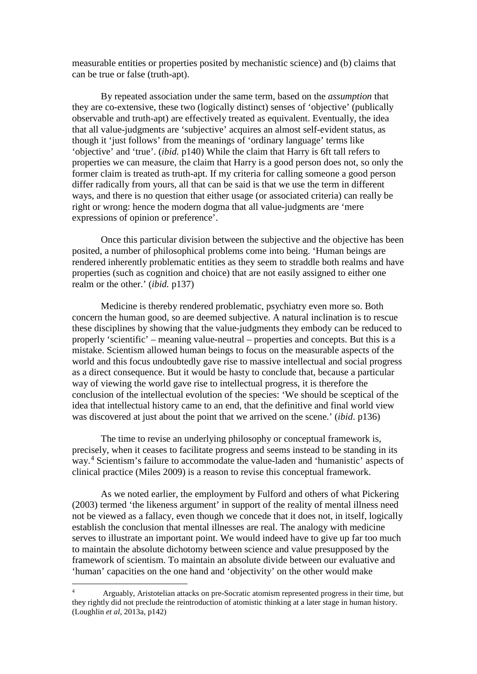measurable entities or properties posited by mechanistic science) and (b) claims that can be true or false (truth-apt).

By repeated association under the same term, based on the *assumption* that they are co-extensive, these two (logically distinct) senses of 'objective' (publically observable and truth-apt) are effectively treated as equivalent. Eventually, the idea that all value-judgments are 'subjective' acquires an almost self-evident status, as though it 'just follows' from the meanings of 'ordinary language' terms like 'objective' and 'true'. (*ibid.* p140) While the claim that Harry is 6ft tall refers to properties we can measure, the claim that Harry is a good person does not, so only the former claim is treated as truth-apt. If my criteria for calling someone a good person differ radically from yours, all that can be said is that we use the term in different ways, and there is no question that either usage (or associated criteria) can really be right or wrong: hence the modern dogma that all value-judgments are 'mere expressions of opinion or preference'.

Once this particular division between the subjective and the objective has been posited, a number of philosophical problems come into being. 'Human beings are rendered inherently problematic entities as they seem to straddle both realms and have properties (such as cognition and choice) that are not easily assigned to either one realm or the other.' (*ibid.* p137)

Medicine is thereby rendered problematic, psychiatry even more so. Both concern the human good, so are deemed subjective. A natural inclination is to rescue these disciplines by showing that the value-judgments they embody can be reduced to properly 'scientific' – meaning value-neutral – properties and concepts. But this is a mistake. Scientism allowed human beings to focus on the measurable aspects of the world and this focus undoubtedly gave rise to massive intellectual and social progress as a direct consequence. But it would be hasty to conclude that, because a particular way of viewing the world gave rise to intellectual progress, it is therefore the conclusion of the intellectual evolution of the species: 'We should be sceptical of the idea that intellectual history came to an end, that the definitive and final world view was discovered at just about the point that we arrived on the scene.' (*ibid*. p136)

The time to revise an underlying philosophy or conceptual framework is, precisely, when it ceases to facilitate progress and seems instead to be standing in its way.[4](#page-7-0) Scientism's failure to accommodate the value-laden and 'humanistic' aspects of clinical practice (Miles 2009) is a reason to revise this conceptual framework.

As we noted earlier, the employment by Fulford and others of what Pickering (2003) termed 'the likeness argument' in support of the reality of mental illness need not be viewed as a fallacy, even though we concede that it does not, in itself, logically establish the conclusion that mental illnesses are real. The analogy with medicine serves to illustrate an important point. We would indeed have to give up far too much to maintain the absolute dichotomy between science and value presupposed by the framework of scientism. To maintain an absolute divide between our evaluative and 'human' capacities on the one hand and 'objectivity' on the other would make

-

<span id="page-7-0"></span><sup>4</sup> Arguably, Aristotelian attacks on pre-Socratic atomism represented progress in their time, but they rightly did not preclude the reintroduction of atomistic thinking at a later stage in human history. (Loughlin *et al*, 2013a, p142)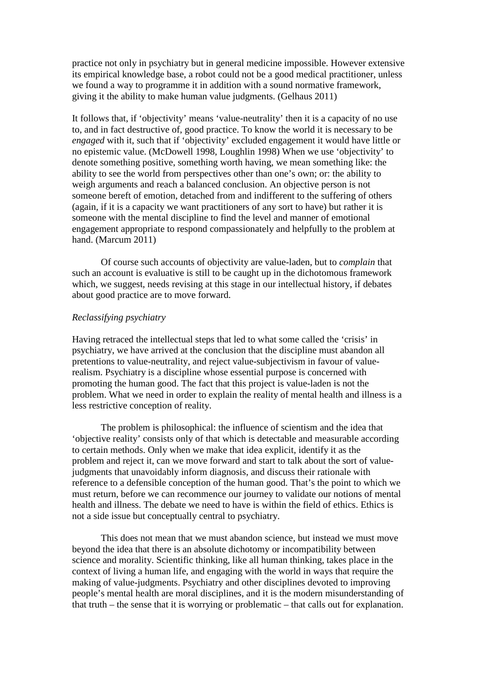practice not only in psychiatry but in general medicine impossible. However extensive its empirical knowledge base, a robot could not be a good medical practitioner, unless we found a way to programme it in addition with a sound normative framework, giving it the ability to make human value judgments. (Gelhaus 2011)

It follows that, if 'objectivity' means 'value-neutrality' then it is a capacity of no use to, and in fact destructive of, good practice. To know the world it is necessary to be *engaged* with it, such that if 'objectivity' excluded engagement it would have little or no epistemic value. (McDowell 1998, Loughlin 1998) When we use 'objectivity' to denote something positive, something worth having, we mean something like: the ability to see the world from perspectives other than one's own; or: the ability to weigh arguments and reach a balanced conclusion. An objective person is not someone bereft of emotion, detached from and indifferent to the suffering of others (again, if it is a capacity we want practitioners of any sort to have) but rather it is someone with the mental discipline to find the level and manner of emotional engagement appropriate to respond compassionately and helpfully to the problem at hand. (Marcum 2011)

Of course such accounts of objectivity are value-laden, but to *complain* that such an account is evaluative is still to be caught up in the dichotomous framework which, we suggest, needs revising at this stage in our intellectual history, if debates about good practice are to move forward.

### *Reclassifying psychiatry*

Having retraced the intellectual steps that led to what some called the 'crisis' in psychiatry, we have arrived at the conclusion that the discipline must abandon all pretentions to value-neutrality, and reject value-subjectivism in favour of valuerealism. Psychiatry is a discipline whose essential purpose is concerned with promoting the human good. The fact that this project is value-laden is not the problem. What we need in order to explain the reality of mental health and illness is a less restrictive conception of reality.

The problem is philosophical: the influence of scientism and the idea that 'objective reality' consists only of that which is detectable and measurable according to certain methods. Only when we make that idea explicit, identify it as the problem and reject it, can we move forward and start to talk about the sort of valuejudgments that unavoidably inform diagnosis, and discuss their rationale with reference to a defensible conception of the human good. That's the point to which we must return, before we can recommence our journey to validate our notions of mental health and illness. The debate we need to have is within the field of ethics. Ethics is not a side issue but conceptually central to psychiatry.

This does not mean that we must abandon science, but instead we must move beyond the idea that there is an absolute dichotomy or incompatibility between science and morality. Scientific thinking, like all human thinking, takes place in the context of living a human life, and engaging with the world in ways that require the making of value-judgments. Psychiatry and other disciplines devoted to improving people's mental health are moral disciplines, and it is the modern misunderstanding of that truth – the sense that it is worrying or problematic – that calls out for explanation.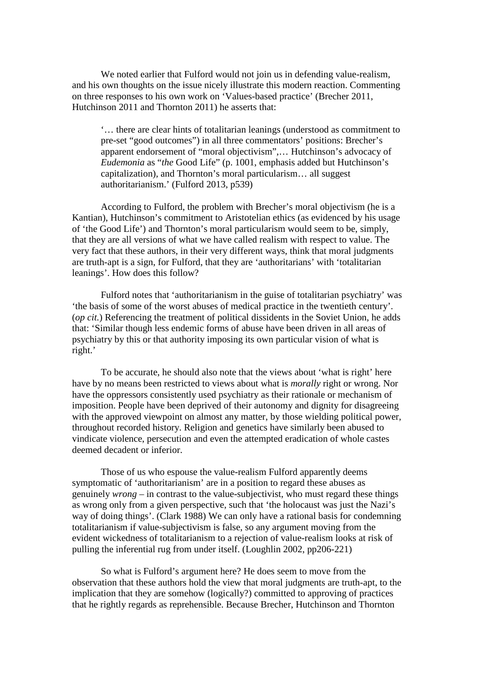We noted earlier that Fulford would not join us in defending value-realism, and his own thoughts on the issue nicely illustrate this modern reaction. Commenting on three responses to his own work on 'Values-based practice' (Brecher 2011, Hutchinson 2011 and Thornton 2011) he asserts that:

'… there are clear hints of totalitarian leanings (understood as commitment to pre-set "good outcomes") in all three commentators' positions: Brecher's apparent endorsement of "moral objectivism",… Hutchinson's advocacy of *Eudemonia* as "*the* Good Life" (p. 1001, emphasis added but Hutchinson's capitalization), and Thornton's moral particularism… all suggest authoritarianism.' (Fulford 2013, p539)

According to Fulford, the problem with Brecher's moral objectivism (he is a Kantian), Hutchinson's commitment to Aristotelian ethics (as evidenced by his usage of 'the Good Life') and Thornton's moral particularism would seem to be, simply, that they are all versions of what we have called realism with respect to value. The very fact that these authors, in their very different ways, think that moral judgments are truth-apt is a sign, for Fulford, that they are 'authoritarians' with 'totalitarian leanings'. How does this follow?

Fulford notes that 'authoritarianism in the guise of totalitarian psychiatry' was 'the basis of some of the worst abuses of medical practice in the twentieth century'. (*op cit.*) Referencing the treatment of political dissidents in the Soviet Union, he adds that: 'Similar though less endemic forms of abuse have been driven in all areas of psychiatry by this or that authority imposing its own particular vision of what is right.'

To be accurate, he should also note that the views about 'what is right' here have by no means been restricted to views about what is *morally* right or wrong. Nor have the oppressors consistently used psychiatry as their rationale or mechanism of imposition. People have been deprived of their autonomy and dignity for disagreeing with the approved viewpoint on almost any matter, by those wielding political power, throughout recorded history. Religion and genetics have similarly been abused to vindicate violence, persecution and even the attempted eradication of whole castes deemed decadent or inferior.

Those of us who espouse the value-realism Fulford apparently deems symptomatic of 'authoritarianism' are in a position to regard these abuses as genuinely *wrong* – in contrast to the value-subjectivist, who must regard these things as wrong only from a given perspective, such that 'the holocaust was just the Nazi's way of doing things'. (Clark 1988) We can only have a rational basis for condemning totalitarianism if value-subjectivism is false, so any argument moving from the evident wickedness of totalitarianism to a rejection of value-realism looks at risk of pulling the inferential rug from under itself. (Loughlin 2002, pp206-221)

So what is Fulford's argument here? He does seem to move from the observation that these authors hold the view that moral judgments are truth-apt, to the implication that they are somehow (logically?) committed to approving of practices that he rightly regards as reprehensible. Because Brecher, Hutchinson and Thornton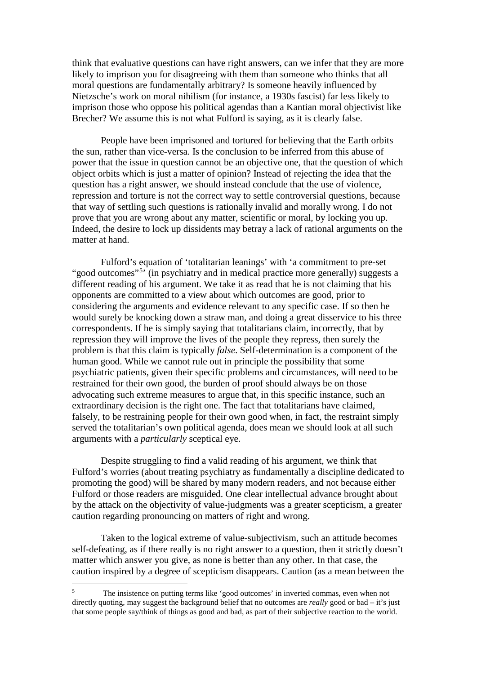think that evaluative questions can have right answers, can we infer that they are more likely to imprison you for disagreeing with them than someone who thinks that all moral questions are fundamentally arbitrary? Is someone heavily influenced by Nietzsche's work on moral nihilism (for instance, a 1930s fascist) far less likely to imprison those who oppose his political agendas than a Kantian moral objectivist like Brecher? We assume this is not what Fulford is saying, as it is clearly false.

People have been imprisoned and tortured for believing that the Earth orbits the sun, rather than vice-versa. Is the conclusion to be inferred from this abuse of power that the issue in question cannot be an objective one, that the question of which object orbits which is just a matter of opinion? Instead of rejecting the idea that the question has a right answer, we should instead conclude that the use of violence, repression and torture is not the correct way to settle controversial questions, because that way of settling such questions is rationally invalid and morally wrong. I do not prove that you are wrong about any matter, scientific or moral, by locking you up. Indeed, the desire to lock up dissidents may betray a lack of rational arguments on the matter at hand.

Fulford's equation of 'totalitarian leanings' with 'a commitment to pre-set "good outcomes"<sup>[5](#page-10-0)</sup>" (in psychiatry and in medical practice more generally) suggests a different reading of his argument. We take it as read that he is not claiming that his opponents are committed to a view about which outcomes are good, prior to considering the arguments and evidence relevant to any specific case. If so then he would surely be knocking down a straw man, and doing a great disservice to his three correspondents. If he is simply saying that totalitarians claim, incorrectly, that by repression they will improve the lives of the people they repress, then surely the problem is that this claim is typically *false*. Self-determination is a component of the human good. While we cannot rule out in principle the possibility that some psychiatric patients, given their specific problems and circumstances, will need to be restrained for their own good, the burden of proof should always be on those advocating such extreme measures to argue that, in this specific instance, such an extraordinary decision is the right one. The fact that totalitarians have claimed, falsely, to be restraining people for their own good when, in fact, the restraint simply served the totalitarian's own political agenda, does mean we should look at all such arguments with a *particularly* sceptical eye.

Despite struggling to find a valid reading of his argument, we think that Fulford's worries (about treating psychiatry as fundamentally a discipline dedicated to promoting the good) will be shared by many modern readers, and not because either Fulford or those readers are misguided. One clear intellectual advance brought about by the attack on the objectivity of value-judgments was a greater scepticism, a greater caution regarding pronouncing on matters of right and wrong.

Taken to the logical extreme of value-subjectivism, such an attitude becomes self-defeating, as if there really is no right answer to a question, then it strictly doesn't matter which answer you give, as none is better than any other. In that case, the caution inspired by a degree of scepticism disappears. Caution (as a mean between the

<span id="page-10-0"></span>The insistence on putting terms like 'good outcomes' in inverted commas, even when not directly quoting, may suggest the background belief that no outcomes are *really* good or bad – it's just that some people say/think of things as good and bad, as part of their subjective reaction to the world.  $\overline{5}$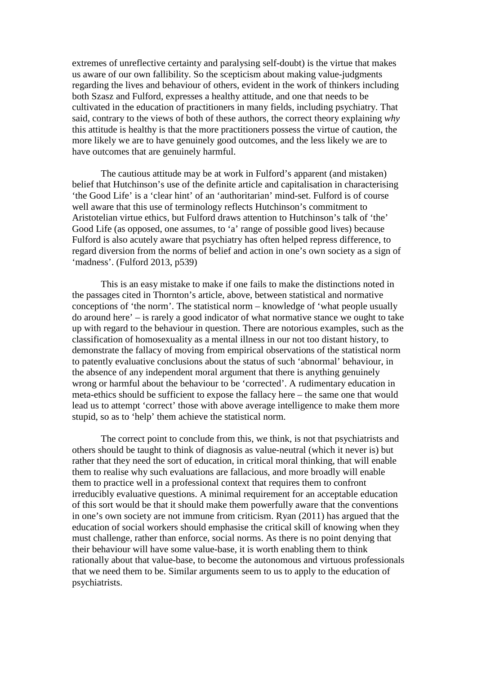extremes of unreflective certainty and paralysing self-doubt) is the virtue that makes us aware of our own fallibility. So the scepticism about making value-judgments regarding the lives and behaviour of others, evident in the work of thinkers including both Szasz and Fulford, expresses a healthy attitude, and one that needs to be cultivated in the education of practitioners in many fields, including psychiatry. That said, contrary to the views of both of these authors, the correct theory explaining *why* this attitude is healthy is that the more practitioners possess the virtue of caution, the more likely we are to have genuinely good outcomes, and the less likely we are to have outcomes that are genuinely harmful.

The cautious attitude may be at work in Fulford's apparent (and mistaken) belief that Hutchinson's use of the definite article and capitalisation in characterising 'the Good Life' is a 'clear hint' of an 'authoritarian' mind-set. Fulford is of course well aware that this use of terminology reflects Hutchinson's commitment to Aristotelian virtue ethics, but Fulford draws attention to Hutchinson's talk of 'the' Good Life (as opposed, one assumes, to 'a' range of possible good lives) because Fulford is also acutely aware that psychiatry has often helped repress difference, to regard diversion from the norms of belief and action in one's own society as a sign of 'madness'. (Fulford 2013, p539)

This is an easy mistake to make if one fails to make the distinctions noted in the passages cited in Thornton's article, above, between statistical and normative conceptions of 'the norm'. The statistical norm – knowledge of 'what people usually do around here' – is rarely a good indicator of what normative stance we ought to take up with regard to the behaviour in question. There are notorious examples, such as the classification of homosexuality as a mental illness in our not too distant history, to demonstrate the fallacy of moving from empirical observations of the statistical norm to patently evaluative conclusions about the status of such 'abnormal' behaviour, in the absence of any independent moral argument that there is anything genuinely wrong or harmful about the behaviour to be 'corrected'. A rudimentary education in meta-ethics should be sufficient to expose the fallacy here – the same one that would lead us to attempt 'correct' those with above average intelligence to make them more stupid, so as to 'help' them achieve the statistical norm.

The correct point to conclude from this, we think, is not that psychiatrists and others should be taught to think of diagnosis as value-neutral (which it never is) but rather that they need the sort of education, in critical moral thinking, that will enable them to realise why such evaluations are fallacious, and more broadly will enable them to practice well in a professional context that requires them to confront irreducibly evaluative questions. A minimal requirement for an acceptable education of this sort would be that it should make them powerfully aware that the conventions in one's own society are not immune from criticism. Ryan (2011) has argued that the education of social workers should emphasise the critical skill of knowing when they must challenge, rather than enforce, social norms. As there is no point denying that their behaviour will have some value-base, it is worth enabling them to think rationally about that value-base, to become the autonomous and virtuous professionals that we need them to be. Similar arguments seem to us to apply to the education of psychiatrists.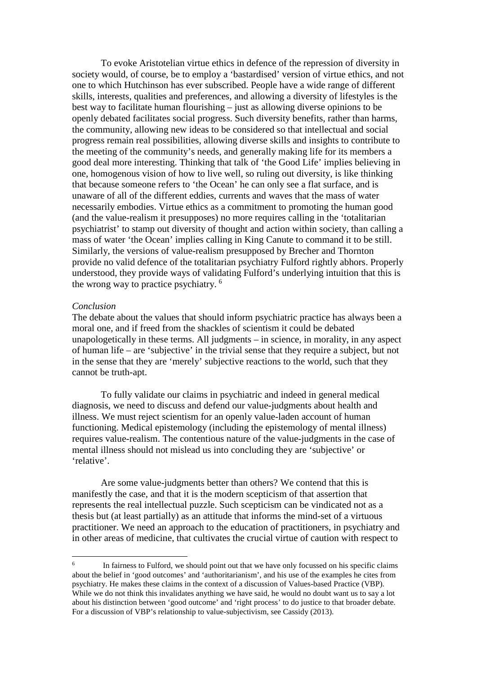To evoke Aristotelian virtue ethics in defence of the repression of diversity in society would, of course, be to employ a 'bastardised' version of virtue ethics, and not one to which Hutchinson has ever subscribed. People have a wide range of different skills, interests, qualities and preferences, and allowing a diversity of lifestyles is the best way to facilitate human flourishing – just as allowing diverse opinions to be openly debated facilitates social progress. Such diversity benefits, rather than harms, the community, allowing new ideas to be considered so that intellectual and social progress remain real possibilities, allowing diverse skills and insights to contribute to the meeting of the community's needs, and generally making life for its members a good deal more interesting. Thinking that talk of 'the Good Life' implies believing in one, homogenous vision of how to live well, so ruling out diversity, is like thinking that because someone refers to 'the Ocean' he can only see a flat surface, and is unaware of all of the different eddies, currents and waves that the mass of water necessarily embodies. Virtue ethics as a commitment to promoting the human good (and the value-realism it presupposes) no more requires calling in the 'totalitarian psychiatrist' to stamp out diversity of thought and action within society, than calling a mass of water 'the Ocean' implies calling in King Canute to command it to be still. Similarly, the versions of value-realism presupposed by Brecher and Thornton provide no valid defence of the totalitarian psychiatry Fulford rightly abhors. Properly understood, they provide ways of validating Fulford's underlying intuition that this is the wrong way to practice psychiatry. [6](#page-12-0)

#### *Conclusion*

The debate about the values that should inform psychiatric practice has always been a moral one, and if freed from the shackles of scientism it could be debated unapologetically in these terms. All judgments – in science, in morality, in any aspect of human life – are 'subjective' in the trivial sense that they require a subject, but not in the sense that they are 'merely' subjective reactions to the world, such that they cannot be truth-apt.

To fully validate our claims in psychiatric and indeed in general medical diagnosis, we need to discuss and defend our value-judgments about health and illness. We must reject scientism for an openly value-laden account of human functioning. Medical epistemology (including the epistemology of mental illness) requires value-realism. The contentious nature of the value-judgments in the case of mental illness should not mislead us into concluding they are 'subjective' or 'relative'.

Are some value-judgments better than others? We contend that this is manifestly the case, and that it is the modern scepticism of that assertion that represents the real intellectual puzzle. Such scepticism can be vindicated not as a thesis but (at least partially) as an attitude that informs the mind-set of a virtuous practitioner. We need an approach to the education of practitioners, in psychiatry and in other areas of medicine, that cultivates the crucial virtue of caution with respect to

<span id="page-12-0"></span>In fairness to Fulford, we should point out that we have only focussed on his specific claims about the belief in 'good outcomes' and 'authoritarianism', and his use of the examples he cites from psychiatry. He makes these claims in the context of a discussion of Values-based Practice (VBP). While we do not think this invalidates anything we have said, he would no doubt want us to say a lot about his distinction between 'good outcome' and 'right process' to do justice to that broader debate. For a discussion of VBP's relationship to value-subjectivism, see Cassidy (2013).  $\overline{6}$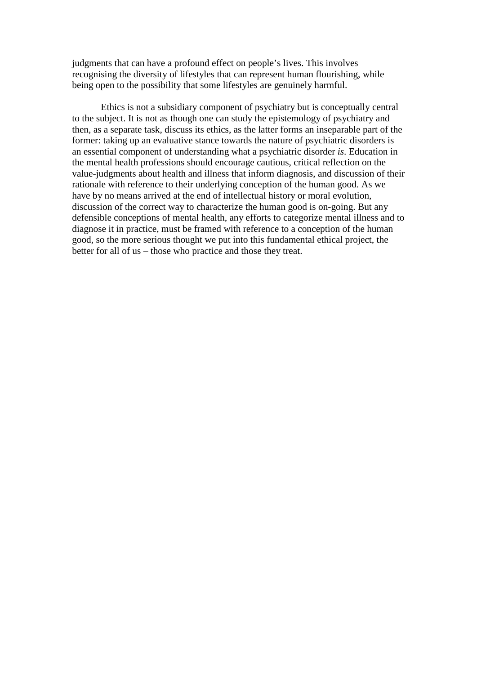judgments that can have a profound effect on people's lives. This involves recognising the diversity of lifestyles that can represent human flourishing, while being open to the possibility that some lifestyles are genuinely harmful.

Ethics is not a subsidiary component of psychiatry but is conceptually central to the subject. It is not as though one can study the epistemology of psychiatry and then, as a separate task, discuss its ethics, as the latter forms an inseparable part of the former: taking up an evaluative stance towards the nature of psychiatric disorders is an essential component of understanding what a psychiatric disorder *is*. Education in the mental health professions should encourage cautious, critical reflection on the value-judgments about health and illness that inform diagnosis, and discussion of their rationale with reference to their underlying conception of the human good. As we have by no means arrived at the end of intellectual history or moral evolution, discussion of the correct way to characterize the human good is on-going. But any defensible conceptions of mental health, any efforts to categorize mental illness and to diagnose it in practice, must be framed with reference to a conception of the human good, so the more serious thought we put into this fundamental ethical project, the better for all of us – those who practice and those they treat.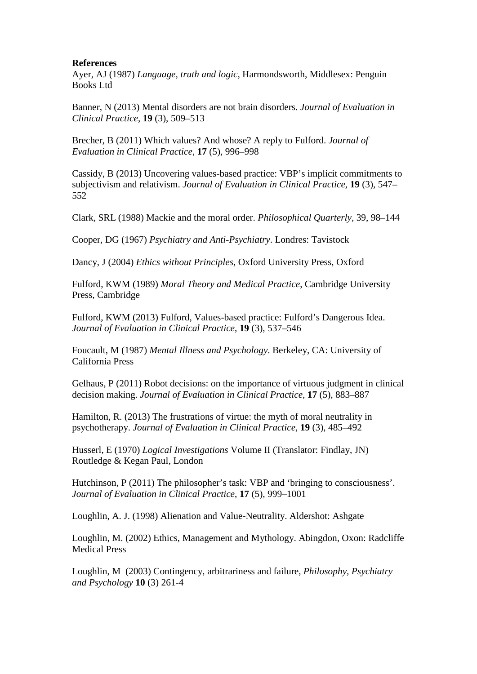## **References**

Ayer, AJ (1987) *Language, truth and logic*, Harmondsworth, Middlesex: Penguin Books Ltd

Banner, N (2013) Mental disorders are not brain disorders. *Journal of Evaluation in Clinical Practice*, **19** (3), 509–513

Brecher, B (2011) Which values? And whose? A reply to Fulford. *Journal of Evaluation in Clinical Practice*, **17** (5), 996–998

Cassidy, B (2013) Uncovering values-based practice: VBP's implicit commitments to subjectivism and relativism. *Journal of Evaluation in Clinical Practice*, **19** (3), 547– 552

Clark, SRL (1988) Mackie and the moral order. *Philosophical Quarterly*, 39, 98–144

Cooper, DG (1967) *Psychiatry and Anti-Psychiatry*. Londres: Tavistock

Dancy, J (2004) *Ethics without Principles*, Oxford University Press, Oxford

Fulford, KWM (1989) *Moral Theory and Medical Practice*, Cambridge University Press, Cambridge

Fulford, KWM (2013) Fulford, Values-based practice: Fulford's Dangerous Idea. *Journal of Evaluation in Clinical Practice*, **19** (3), 537–546

Foucault, M (1987) *Mental Illness and Psychology*. Berkeley, CA: University of California Press

Gelhaus, P (2011) Robot decisions: on the importance of virtuous judgment in clinical decision making. *Journal of Evaluation in Clinical Practice*, **17** (5), 883–887

Hamilton, R. (2013) The frustrations of virtue: the myth of moral neutrality in psychotherapy. *Journal of Evaluation in Clinical Practice*, **19** (3), 485–492

Husserl, E (1970) *Logical Investigations* Volume II (Translator: Findlay, JN) Routledge & Kegan Paul, London

Hutchinson, P (2011) The philosopher's task: VBP and 'bringing to consciousness'. *Journal of Evaluation in Clinical Practice*, **17** (5), 999–1001

Loughlin, A. J. (1998) Alienation and Value-Neutrality. Aldershot: Ashgate

Loughlin, M. (2002) Ethics, Management and Mythology. Abingdon, Oxon: Radcliffe Medical Press

Loughlin, M (2003) Contingency, arbitrariness and failure, *Philosophy, Psychiatry and Psychology* **10** (3) 261-4